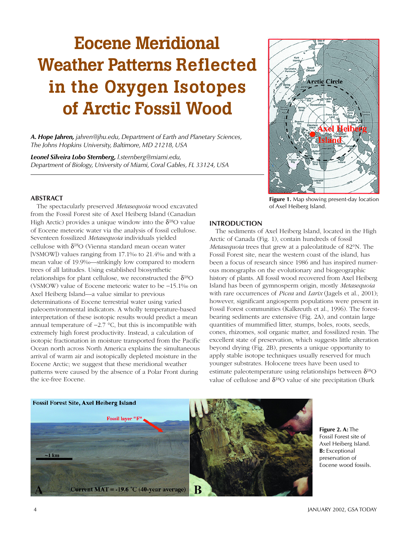# **Eocene Meridional Weather Patterns Reflected in the Oxygen Isotopes of Arctic Fossil Wood**

*A. Hope Jahren, jahren@jhu.edu, Department of Earth and Planetary Sciences, The Johns Hopkins University, Baltimore, MD 21218, USA*

*Leonel Silveira Lobo Sternberg, l.sternberg@miami.edu, Department of Biology, University of Miami, Coral Gables, FL 33124, USA*



**Figure 1.** Map showing present-day location of Axel Heiberg Island.

# **ABSTRACT**

The spectacularly preserved *Metasequoia* wood excavated from the Fossil Forest site of Axel Heiberg Island (Canadian High Arctic) provides a unique window into the  $\delta^{18}$ O value of Eocene meteoric water via the analysis of fossil cellulose. Seventeen fossilized *Metasequoia* individuals yielded cellulose with  $\delta^{18}O$  (Vienna standard mean ocean water [VSMOW]) values ranging from 17.1‰ to 21.4‰ and with a mean value of 19.9‰—strikingly low compared to modern trees of all latitudes. Using established biosynthetic relationships for plant cellulose, we reconstructed the  $\delta^{18}O$ (VSMOW) value of Eocene meteoric water to be −15.1‰ on Axel Heiberg Island—a value similar to previous determinations of Eocene terrestrial water using varied paleoenvironmental indicators. A wholly temperature-based interpretation of these isotopic results would predict a mean annual temperature of −2.7 °C, but this is incompatible with extremely high forest productivity. Instead, a calculation of isotopic fractionation in moisture transported from the Pacific Ocean north across North America explains the simultaneous arrival of warm air and isotopically depleted moisture in the Eocene Arctic; we suggest that these meridional weather patterns were caused by the absence of a Polar Front during the ice-free Eocene.

# **INTRODUCTION**

The sediments of Axel Heiberg Island, located in the High Arctic of Canada (Fig. 1), contain hundreds of fossil *Metasequoia* trees that grew at a paleolatitude of 82°N. The Fossil Forest site, near the western coast of the island, has been a focus of research since 1986 and has inspired numerous monographs on the evolutionary and biogeographic history of plants. All fossil wood recovered from Axel Heiberg Island has been of gymnosperm origin, mostly *Metasequoia* with rare occurrences of *Picea* and *Larix* (Jagels et al., 2001); however, significant angiosperm populations were present in Fossil Forest communities (Kalkreuth et al., 1996). The forestbearing sediments are extensive (Fig. 2A), and contain large quantities of mummified litter, stumps, boles, roots, seeds, cones, rhizomes, soil organic matter, and fossilized resin. The excellent state of preservation, which suggests little alteration beyond drying (Fig. 2B), presents a unique opportunity to apply stable isotope techniques usually reserved for much younger substrates. Holocene trees have been used to estimate paleotemperature using relationships between  $\delta^{18}O$ value of cellulose and  $\delta^{18}O$  value of site precipitation (Burk



**Figure 2. A:** The Fossil Forest site of Axel Heiberg Island. **B:** Exceptional preservation of Eocene wood fossils.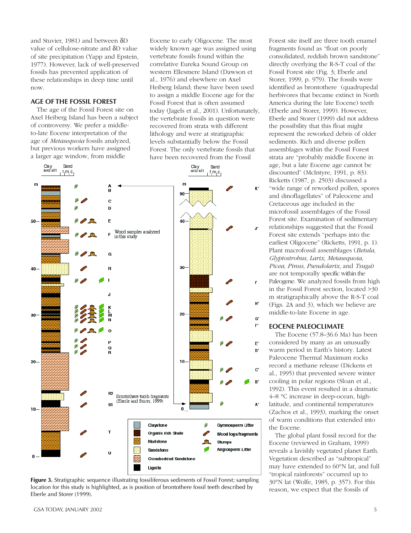and Stuvier, 1981) and between δD value of cellulose-nitrate and δD value of site precipitation (Yapp and Epstein, 1977). However, lack of well-preserved fossils has prevented application of these relationships in deep time until now.

## **AGE OF THE FOSSIL FOREST**

The age of the Fossil Forest site on Axel Heiberg Island has been a subject of controversy. We prefer a middleto-late Eocene interpretation of the age of *Metasequoia* fossils analyzed, but previous workers have assigned a larger age window, from middle

Eocene to early Oligocene. The most widely known age was assigned using vertebrate fossils found within the correlative Eureka Sound Group on western Ellesmere Island (Dawson et al., 1976) and elsewhere on Axel Heiberg Island; these have been used to assign a middle Eocene age for the Fossil Forest that is often assumed today (Jagels et al., 2001). Unfortunately, the vertebrate fossils in question were recovered from strata with different lithology and were at stratigraphic levels substantially below the Fossil Forest. The only vertebrate fossils that have been recovered from the Fossil



**Figure 3.** Stratigraphic sequence illustrating fossiliferous sediments of Fossil Forest; sampling location for this study is highlighted, as is position of brontothere fossil teeth described by Eberle and Storer (1999).

fragments found as "float on poorly consolidated, reddish brown sandstone" directly overlying the R-S-T coal of the Fossil Forest site (Fig. 3; Eberle and Storer, 1999, p. 979). The fossils were identified as brontothere (quadrupedal herbivores that became extinct in North America during the late Eocene) teeth (Eberle and Storer, 1999). However, Eberle and Storer (1999) did not address the possibility that this float might represent the reworked debris of older sediments. Rich and diverse pollen assemblages within the Fossil Forest strata are "probably middle Eocene in age, but a late Eocene age cannot be discounted" (McIntyre, 1991, p. 83). Ricketts (1987, p. 2503) discussed a "wide range of reworked pollen, spores and dinoflagellates" of Paleocene and Cretaceous age included in the microfossil assemblages of the Fossil Forest site. Examination of sedimentary relationships suggested that the Fossil Forest site extends "perhaps into the earliest Oligocene" (Ricketts, 1991, p. 1). Plant macrofossil assemblages (*Betula, Glyptostrobus, Larix, Metasequoia, Picea, Pinus, Pseudolarix*, and *Tsuga*) are not temporally specific within the Paleogene. We analyzed fossils from high in the Fossil Forest section, located >30 m stratigraphically above the R-S-T coal (Figs. 2A and 3), which we believe are middle-to-late Eocene in age.

Forest site itself are three tooth enamel

## **EOCENE PALEOCLIMATE**

The Eocene (57.8–36.6 Ma) has been considered by many as an unusually warm period in Earth's history. Latest Paleocene Thermal Maximum rocks record a methane release (Dickens et al., 1995) that prevented severe winter cooling in polar regions (Sloan et al., 1992). This event resulted in a dramatic 4–8 °C increase in deep-ocean, highlatitude, and continental temperatures (Zachos et al., 1993), marking the onset of warm conditions that extended into the Eocene.

The global plant fossil record for the Eocene (reviewed in Graham, 1999) reveals a lavishly vegetated planet Earth. Vegetation described as "subtropical" may have extended to 60°N lat, and full "tropical rainforests" occurred up to 30°N lat (Wolfe, 1985, p. 357). For this reason, we expect that the fossils of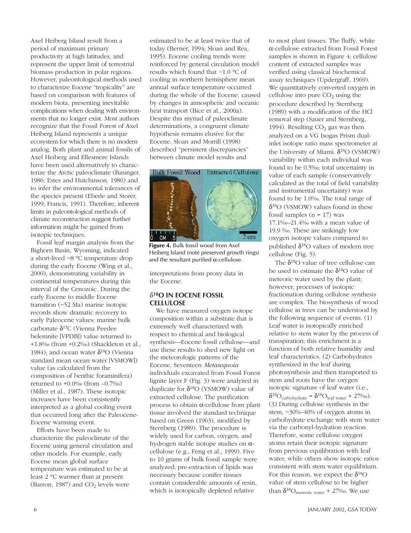Axel Heiberg Island result from a period of maximum primary productivity at high latitudes, and represent the upper limit of terrestrial biomass production in polar regions. However, paleontological methods used to characterize Eocene "tropicality" are based on comparison with features of modern biota, presenting inevitable complications when dealing with environments that no longer exist. Most authors recognize that the Fossil Forest of Axel Heiberg Island represents a unique ecosystem for which there is no modern analog. Both plant and animal fossils of Axel Heiberg and Ellesmere Islands have been used alternatively to characterize the Arctic paleoclimate (Basinger, 1986; Estes and Hutchinson, 1980) and to infer the environmental tolerances of the species present (Eberle and Storer, 1999; Francis, 1991). Therefore, inherent limits in paleontological methods of climate reconstruction suggest further information might be gained from isotopic techniques.

Fossil leaf margin analysis from the Bighorn Basin, Wyoming, indicated a short-lived ~8 °C temperature drop during the early Eocene (Wing et al., 2000), demonstrating variability in continental temperatures during this interval of the Cenozoic. During the early Eocene to middle Eocene transition (~52 Ma) marine isotopic records show dramatic recovery to early Paleocene values: marine bulk carbonate δ13C (Vienna Peedee belemnite [VPDB]) value returned to +1.8‰ (from +0.2‰) (Shackleton et al., 1984); and ocean water  $δ<sup>18</sup>O$  (Vienna standard mean ocean water [VSMOW]) value (as calculated from the composition of benthic foraminifera) returned to +0.0‰ (from –0.7‰) (Miller et al., 1987). These isotopic increases have been consistently interpreted as a global cooling event that occurred long after the Paleocene-Eocene warming event.

Efforts have been made to characterize the paleoclimate of the Eocene using general circulation and other models. For example, early Eocene mean global surface temperature was estimated to be at least 2 °C warmer than at present (Barron, 1987) and  $CO<sub>2</sub>$  levels were

estimated to be at least twice that of today (Berner, 1994; Sloan and Rea, 1995). Eocene cooling trends were reinforced by general circulation model results which found that ~1.0 °C of cooling in northern hemisphere mean annual surface temperature occurred during the whole of the Eocene, caused by changes in atmospheric and oceanic heat transport (Bice et al., 2000a). Despite this myriad of paleoclimate determinations, a congruent climate hypothesis remains elusive for the Eocene. Sloan and Morrill (1998) described "persistent discrepancies" between climate model results and



**Figure 4.** Bulk fossil wood from Axel Heiberg Island (note preserved growth rings) and the resultant purified  $\alpha$ -cellulose.

interpretations from proxy data in the Eocene.

## δ**18O IN EOCENE FOSSIL CELLULOSE**

We have measured oxygen isotope composition within a substrate that is extremely well characterized with respect to chemical and biological synthesis—Eocene fossil cellulose—and use these results to shed new light on the meteorologic patterns of the Eocene. Seventeen *Metasequoia* individuals excavated from Fossil Forest lignite layer F (Fig. 3) were analyzed in duplicate for  $δ<sup>18</sup>O$  (VSMOW) value of extracted cellulose. The purification process to obtain α-cellulose from plant tissue involved the standard technique based on Green (1963), modified by Sternberg (1989). The procedure is widely used for carbon, oxygen, and hydrogen stable isotope studies on αcellulose (e.g., Feng et al., 1999). Five to 10 grams of bulk fossil sample were analyzed; pre-extraction of lipids was necessary because conifer tissues contain considerable amounts of resin, which is isotopically depleted relative

to most plant tissues. The fluffy, white α-cellulose extracted from Fossil Forest samples is shown in Figure 4; cellulose content of extracted samples was verified using classical biochemical assay techniques (Updergraff, 1969). We quantitatively converted oxygen in cellulose into pure  $CO<sub>2</sub>$  using the procedure described by Sternberg (1989) with a modification of the HCl removal step (Sauer and Sternberg, 1994). Resulting  $CO<sub>2</sub>$  gas was then analyzed on a VG Isogas Prism dualinlet isotope ratio mass spectrometer at the University of Miami.  $δ<sup>18</sup>O$  (VSMOW) variability within each individual was found to be 0.5‰; total uncertainty in value of each sample (conservatively calculated as the total of field variability and instrumental uncertainty) was found to be 1.0‰. The total range of  $\delta^{18}$ O (VSMOW) values found in these fossil samples ( $n = 17$ ) was 17.1‰–21.4‰ with a mean value of 19.9 ‰. These are strikingly low oxygen isotope values compared to published  $δ<sup>18</sup>O$  values of modern tree cellulose (Fig. 5).

The  $\delta^{18}O$  value of tree cellulose can be used to estimate the  $\delta^{18}$ O value of meteoric water used by the plant; however, processes of isotopic fractionation during cellulose synthesis are complex. The biosynthesis of wood cellulose in trees can be understood by the following sequence of events. (1) Leaf water is isotopically enriched relative to stem water by the process of transpiration; this enrichment is a function of both relative humidity and leaf characteristics. (2) Carbohydrates synthesized in the leaf during photosynthesis and then transported to stem and roots have the oxygen isotopic signature of leaf water (i.e.,  $\delta^{18}O_{\text{carbohydrate}} = \delta^{18}O_{\text{leaf water}} + 27\%$ <sub>0</sub>). (3) During cellulose synthesis in the stem, ~30%–40% of oxygen atoms in carbohydrate exchange with stem water via the carbonyl-hydration reaction. Therefore, some cellulose oxygen atoms retain their isotopic signature from previous equilibration with leaf water, while others show isotopic ratios consistent with stem water equilibrium. For this reason, we expect the  $\delta^{18}O$ value of stem cellulose to be higher than  $\delta^{18}O_{\text{meteoric water}}$  + 27‰. We use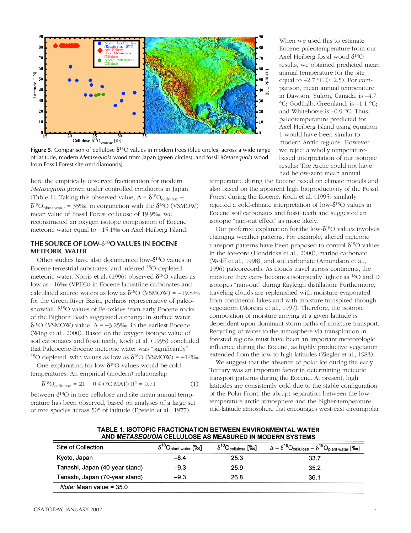

**Figure 5.** Comparison of cellulose δ18O values in modern trees (blue circles) across a wide range of latitude, modern *Metasequoia* wood from Japan (green circles), and fossil *Metasequoia* wood from Fossil Forest site (red diamonds).

here the empirically observed fractionation for modern *Metasequoia* grown under controlled conditions in Japan (Table 1). Taking this observed value,  $\Delta = \delta^{18}O_{\text{cellulose}} \delta^{18}O_{\text{plant water}}$  = 35‰, in conjunction with the  $\delta^{18}O$  (VSMOW) mean value of Fossil Forest cellulose of 19.9‰, we reconstructed an oxygen isotope composition of Eocene meteoric water equal to −15.1‰ on Axel Heiberg Island.

## **THE SOURCE OF LOW-**δ**18O VALUES IN EOCENE METEORIC WATER**

Other studies have also documented low-δ18O values in Eocene terrestrial substrates, and inferred 18O-depleted meteoric water. Norris et al. (1996) observed  $\delta^{18}$ O values as low as –16‰ (VPDB) in Eocene lacustrine carbonates and calculated source waters as low as  $\delta^{18}$ O (VSMOW) = -19.8‰ for the Green River Basin, perhaps representative of paleosnowfall.  $\delta^{18}$ O values of Fe-oxides from early Eocene rocks of the Bighorn Basin suggested a change in surface water δ18O (VSMOW) value, ∆ = −3.25‰, in the earliest Eocene (Wing et al., 2000). Based on the oxygen isotope value of soil carbonates and fossil teeth, Koch et al. (1995) concluded that Paleocene-Eocene meteoric water was "significantly" <sup>18</sup>O depleted, with values as low as  $\delta^{18}$ O (VSMOW) = −14‰.

One explanation for low-δ18O values would be cold temperatures. An empirical (modern) relationship

$$
\delta^{18}O_{\text{cellulose}} = 21 + 0.4 \, (^{\circ}\text{C MAT}) \, \text{R}^2 = 0.71 \tag{1}
$$

between  $\delta^{18}O$  in tree cellulose and site mean annual temperature has been observed, based on analyses of a large set of tree species across 50° of latitude (Epstein et al., 1977).

When we used this to estimate Eocene paleotemperature from our Axel Heiberg fossil wood  $\delta^{18}O$ results, we obtained predicted mean annual temperature for the site equal to  $-2.7$  °C ( $\pm$  2.5). For comparison, mean annual temperature in Dawson, Yukon, Canada, is –4.7 °C; Godthåb, Greenland, is –1.1 °C; and Whitehorse is –0.9 °C. Thus, paleotemperature predicted for Axel Heiberg Island using equation 1 would have been similar to modern Arctic regions. However, we reject a wholly temperaturebased interpretation of our isotopic results: The Arctic could not have had below-zero mean annual

temperature during the Eocene based on climate models and also based on the apparent high bioproductivity of the Fossil Forest during the Eocene. Koch et al. (1995) similarly rejected a cold-climate interpretation of low-δ18O values in Eocene soil carbonates and fossil teeth and suggested an isotopic "rain-out effect" as more likely.

Our preferred explanation for the low-δ18O values involves changing weather patterns. For example, altered meteoric transport patterns have been proposed to control  $\delta^{18}O$  values in the ice-core (Hendricks et al., 2000), marine carbonate (Wolff et al., 1998), and soil carbonate (Amundson et al., 1996) paleorecords. As clouds travel across continents, the moisture they carry becomes isotopically lighter as 18O and D isotopes "rain-out" during Rayleigh distillation. Furthermore, traveling clouds are replenished with moisture evaporated from continental lakes and with moisture transpired through vegetation (Moreira et al., 1997). Therefore, the isotopic composition of moisture arriving at a given latitude is dependent upon dominant storm paths of moisture transport. Recycling of water to the atmosphere via transpiration in forested regions must have been an important meteorologic influence during the Eocene, as highly productive vegetation extended from the low to high latitudes (Ziegler et al., 1983).

We suggest that the absence of polar ice during the early Tertiary was an important factor in determining meteoric transport patterns during the Eocene. At present, high latitudes are consistently cold due to the stable configuration of the Polar Front, the abrupt separation between the lowtemperature arctic atmosphere and the higher-temperature mid-latitude atmosphere that encourages west-east circumpolar

| Site of Collection               | $\delta^{18} \mathsf{O}_\mathsf{plant\ water}$ [‰] | $\delta^{18}O_{\text{cellulose}}$ [‰] | $\Delta = \delta^{18}O_{\text{cellulose}} - \delta^{18}O_{\text{plant water}}$ [\%o] |
|----------------------------------|----------------------------------------------------|---------------------------------------|--------------------------------------------------------------------------------------|
| Kyoto, Japan                     | $-8.4$                                             | 25.3                                  | 33.7                                                                                 |
| Tanashi, Japan (40-year stand)   | $-9.3$                                             | 25.9                                  | 35.2                                                                                 |
| Tanashi, Japan (70-year stand)   | $-9.3$                                             | 26.8                                  | 36.1                                                                                 |
| <i>Note:</i> Mean value = $35.0$ |                                                    |                                       |                                                                                      |

TABLE 1. ISOTOPIC FRACTIONATION BETWEEN ENVIRONMENTAL WATER AND METASEQUOIA CELLULOSE AS MEASURED IN MODERN SYSTEMS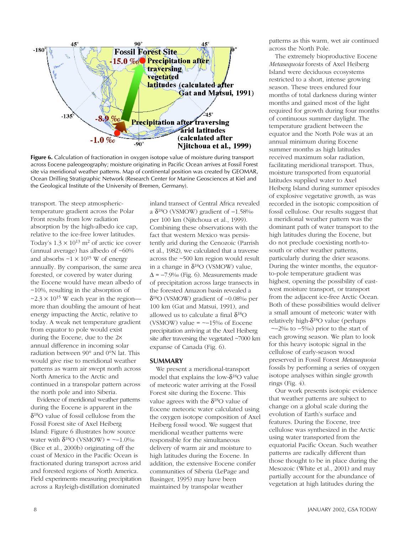

Figure 6. Calculation of fractionation in oxygen isotope value of moisture during transport across Eocene paleogeography; moisture originating in Pacific Ocean arrives at Fossil Forest site via meridional weather patterns. Map of continental position was created by GEOMAR, Ocean Drilling Stratigraphic Network (Research Center for Marine Geosciences at Kiel and the Geological Institute of the University of Bremen, Germany).

transport. The steep atmospherictemperature gradient across the Polar Front results from low radiation absorption by the high-albedo ice cap, relative to the ice-free lower latitudes. Today's  $1.3 \times 10^{13}$  m<sup>2</sup> of arctic ice cover (annual average) has albedo of ~60% and absorbs  $\sim$ 1  $\times$  10<sup>15</sup> W of energy annually. By comparison, the same area forested, or covered by water during the Eocene would have mean albedo of ~10%, resulting in the absorption of  $\approx$  2.3  $\times$  10<sup>15</sup> W each year in the region more than doubling the amount of heat energy impacting the Arctic, relative to today. A weak net temperature gradient from equator to pole would exist during the Eocene, due to the 2× annual difference in incoming solar radiation between 90° and 0°N lat. This would give rise to meridional weather patterns as warm air swept north across North America to the Arctic and continued in a transpolar pattern across the north pole and into Siberia.

Evidence of meridional weather patterns during the Eocene is apparent in the  $\delta^{18}$ O value of fossil cellulose from the Fossil Forest site of Axel Heiberg Island: Figure 6 illustrates how source water with  $\delta^{18}O$  (VSMOW) = ~-1.0‰ (Bice et al., 2000b) originating off the coast of Mexico in the Pacific Ocean is fractionated during transport across arid and forested regions of North America. Field experiments measuring precipitation across a Rayleigh-distillation dominated

inland transect of Central Africa revealed a δ18O (VSMOW) gradient of −1.58‰ per 100 km (Njitchoua et al., 1999). Combining these observations with the fact that western Mexico was persistently arid during the Cenozoic (Parrish et al., 1982), we calculated that a traverse across the ~500 km region would result in a change in  $\delta^{18}O$  (VSMOW) value,  $\Delta$  = −7.9‰ (Fig. 6). Measurements made of precipitation across large transects in the forested Amazon basin revealed a δ18O (VSMOW) gradient of −0.08‰ per 100 km (Gat and Matsui, 1991), and allowed us to calculate a final  $\delta^{18}O$ (VSMOW) value = ~−15‰ of Eocene precipitation arriving at the Axel Heiberg site after traversing the vegetated ~7000 km expanse of Canada (Fig. 6).

## **SUMMARY**

We present a meridional-transport model that explains the low- $\delta^{18}O$  value of meteoric water arriving at the Fossil Forest site during the Eocene. This value agrees with the  $\delta^{18}$ O value of Eocene meteoric water calculated using the oxygen isotope composition of Axel Heiberg fossil wood. We suggest that meridional weather patterns were responsible for the simultaneous delivery of warm air and moisture to high latitudes during the Eocene. In addition, the extensive Eocene conifer communities of Siberia (LePage and Basinger, 1995) may have been maintained by transpolar weather

patterns as this warm, wet air continued across the North Pole.

The extremely bioproductive Eocene *Metasequoia* forests of Axel Heiberg Island were deciduous ecosystems restricted to a short, intense growing season. These trees endured four months of total darkness during winter months and gained most of the light required for growth during four months of continuous summer daylight. The temperature gradient between the equator and the North Pole was at an annual minimum during Eocene summer months as high latitudes received maximum solar radiation, facilitating meridional transport. Thus, moisture transported from equatorial latitudes supplied water to Axel Heiberg Island during summer episodes of explosive vegetative growth, as was recorded in the isotopic composition of fossil cellulose. Our results suggest that a meridional weather pattern was the dominant path of water transport to the high latitudes during the Eocene, but do not preclude coexisting north-tosouth or other weather patterns, particularly during the drier seasons. During the winter months, the equatorto-pole temperature gradient was highest, opening the possibility of eastwest moisture transport, or transport from the adjacent ice-free Arctic Ocean. Both of these possibilities would deliver a small amount of meteoric water with relatively high- $\delta^{18}O$  value (perhaps ~−2‰ to −5‰) prior to the start of each growing season. We plan to look

for this heavy isotopic signal in the cellulose of early-season wood preserved in Fossil Forest *Metasequoia* fossils by performing a series of oxygen isotope analyses within single growth rings (Fig. 4).

Our work presents isotopic evidence that weather patterns are subject to change on a global scale during the evolution of Earth's surface and features. During the Eocene, tree cellulose was synthesized in the Arctic using water transported from the equatorial Pacific Ocean. Such weather patterns are radically different than those thought to be in place during the Mesozoic (White et al., 2001) and may partially account for the abundance of vegetation at high latitudes during the